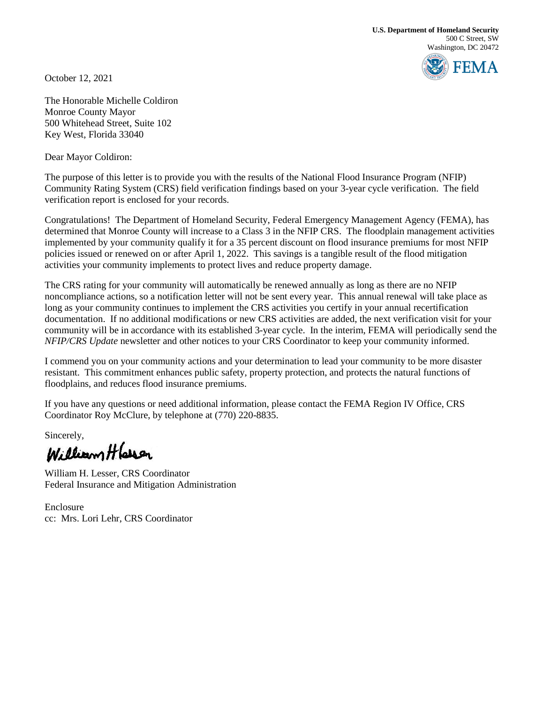**U.S. Department of Homeland Security** 500 C Street, SW Washington, DC 20472

**FEMA** 

October 12, 2021

The Honorable Michelle Coldiron Monroe County Mayor 500 Whitehead Street, Suite 102 Key West, Florida 33040

Dear Mayor Coldiron:

The purpose of this letter is to provide you with the results of the National Flood Insurance Program (NFIP) Community Rating System (CRS) field verification findings based on your 3-year cycle verification. The field verification report is enclosed for your records.

Congratulations! The Department of Homeland Security, Federal Emergency Management Agency (FEMA), has determined that Monroe County will increase to a Class 3 in the NFIP CRS. The floodplain management activities implemented by your community qualify it for a 35 percent discount on flood insurance premiums for most NFIP policies issued or renewed on or after April 1, 2022. This savings is a tangible result of the flood mitigation activities your community implements to protect lives and reduce property damage.

The CRS rating for your community will automatically be renewed annually as long as there are no NFIP noncompliance actions, so a notification letter will not be sent every year. This annual renewal will take place as long as your community continues to implement the CRS activities you certify in your annual recertification documentation. If no additional modifications or new CRS activities are added, the next verification visit for your community will be in accordance with its established 3-year cycle. In the interim, FEMA will periodically send the *NFIP/CRS Update* newsletter and other notices to your CRS Coordinator to keep your community informed.

I commend you on your community actions and your determination to lead your community to be more disaster resistant. This commitment enhances public safety, property protection, and protects the natural functions of floodplains, and reduces flood insurance premiums.

If you have any questions or need additional information, please contact the FEMA Region IV Office, CRS Coordinator Roy McClure, by telephone at (770) 220-8835.

Sincerely,<br>William Hlarsen

William H. Lesser, CRS Coordinator Federal Insurance and Mitigation Administration

Enclosure cc: Mrs. Lori Lehr, CRS Coordinator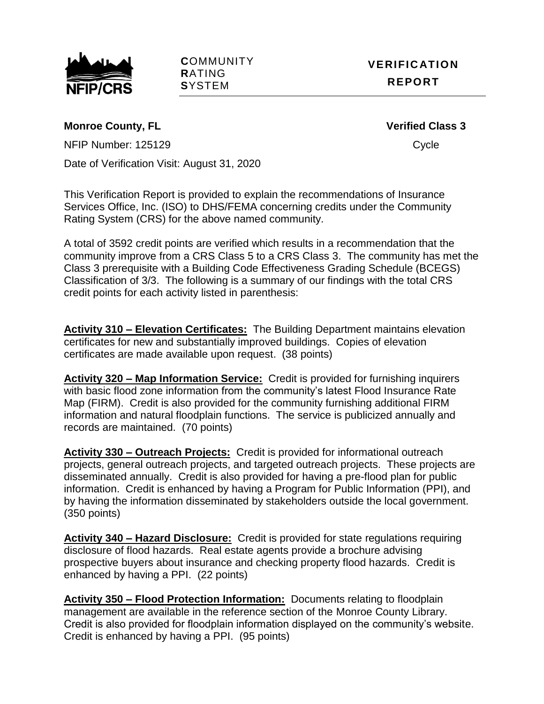

**C**OMMUNITY **R**ATING **S**YSTEM

# **Monroe County, FL Verified Class 3**

NFIP Number: 125129 Cycle

Date of Verification Visit: August 31, 2020

This Verification Report is provided to explain the recommendations of Insurance Services Office, Inc. (ISO) to DHS/FEMA concerning credits under the Community Rating System (CRS) for the above named community.

A total of 3592 credit points are verified which results in a recommendation that the community improve from a CRS Class 5 to a CRS Class 3. The community has met the Class 3 prerequisite with a Building Code Effectiveness Grading Schedule (BCEGS) Classification of 3/3. The following is a summary of our findings with the total CRS credit points for each activity listed in parenthesis:

**Activity 310 – Elevation Certificates:** The Building Department maintains elevation certificates for new and substantially improved buildings. Copies of elevation certificates are made available upon request. (38 points)

**Activity 320 – Map Information Service:** Credit is provided for furnishing inquirers with basic flood zone information from the community's latest Flood Insurance Rate Map (FIRM). Credit is also provided for the community furnishing additional FIRM information and natural floodplain functions. The service is publicized annually and records are maintained. (70 points)

**Activity 330 – Outreach Projects:** Credit is provided for informational outreach projects, general outreach projects, and targeted outreach projects. These projects are disseminated annually. Credit is also provided for having a pre-flood plan for public information. Credit is enhanced by having a Program for Public Information (PPI), and by having the information disseminated by stakeholders outside the local government. (350 points)

**Activity 340 – Hazard Disclosure:** Credit is provided for state regulations requiring disclosure of flood hazards. Real estate agents provide a brochure advising prospective buyers about insurance and checking property flood hazards. Credit is enhanced by having a PPI. (22 points)

**Activity 350 – Flood Protection Information:** Documents relating to floodplain management are available in the reference section of the Monroe County Library. Credit is also provided for floodplain information displayed on the community's website. Credit is enhanced by having a PPI. (95 points)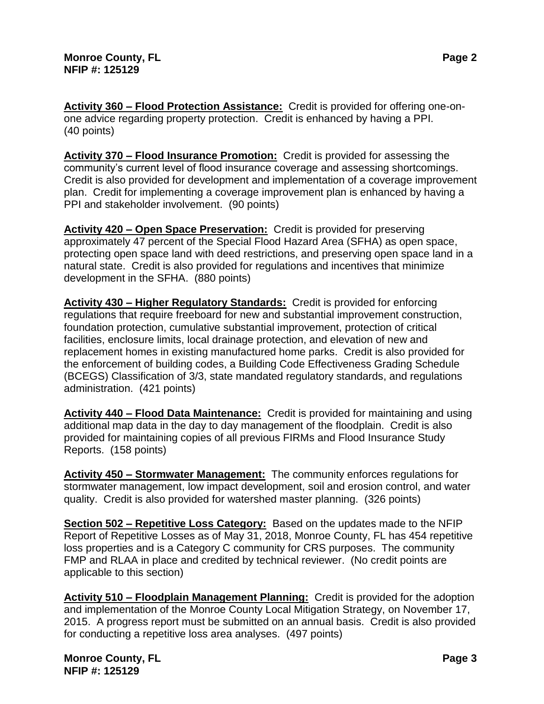**Activity 360 – Flood Protection Assistance:** Credit is provided for offering one-onone advice regarding property protection. Credit is enhanced by having a PPI. (40 points)

**Activity 370 – Flood Insurance Promotion:** Credit is provided for assessing the community's current level of flood insurance coverage and assessing shortcomings. Credit is also provided for development and implementation of a coverage improvement plan. Credit for implementing a coverage improvement plan is enhanced by having a PPI and stakeholder involvement. (90 points)

**Activity 420 – Open Space Preservation:** Credit is provided for preserving approximately 47 percent of the Special Flood Hazard Area (SFHA) as open space, protecting open space land with deed restrictions, and preserving open space land in a natural state. Credit is also provided for regulations and incentives that minimize development in the SFHA. (880 points)

**Activity 430 – Higher Regulatory Standards:** Credit is provided for enforcing regulations that require freeboard for new and substantial improvement construction, foundation protection, cumulative substantial improvement, protection of critical facilities, enclosure limits, local drainage protection, and elevation of new and replacement homes in existing manufactured home parks. Credit is also provided for the enforcement of building codes, a Building Code Effectiveness Grading Schedule (BCEGS) Classification of 3/3, state mandated regulatory standards, and regulations administration. (421 points)

**Activity 440 – Flood Data Maintenance:** Credit is provided for maintaining and using additional map data in the day to day management of the floodplain. Credit is also provided for maintaining copies of all previous FIRMs and Flood Insurance Study Reports. (158 points)

**Activity 450 – Stormwater Management:** The community enforces regulations for stormwater management, low impact development, soil and erosion control, and water quality. Credit is also provided for watershed master planning. (326 points)

**Section 502 – Repetitive Loss Category:** Based on the updates made to the NFIP Report of Repetitive Losses as of May 31, 2018, Monroe County, FL has 454 repetitive loss properties and is a Category C community for CRS purposes. The community FMP and RLAA in place and credited by technical reviewer. (No credit points are applicable to this section)

**Activity 510 – Floodplain Management Planning:** Credit is provided for the adoption and implementation of the Monroe County Local Mitigation Strategy, on November 17, 2015. A progress report must be submitted on an annual basis. Credit is also provided for conducting a repetitive loss area analyses. (497 points)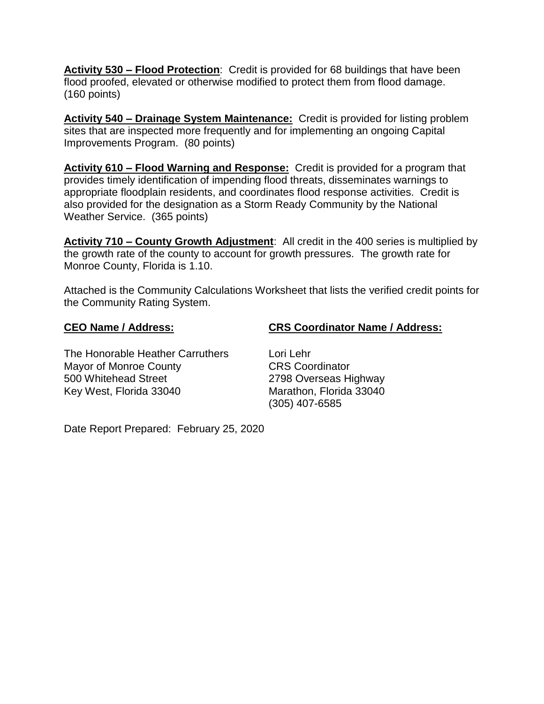**Activity 530 – Flood Protection**: Credit is provided for 68 buildings that have been flood proofed, elevated or otherwise modified to protect them from flood damage. (160 points)

**Activity 540 – Drainage System Maintenance:** Credit is provided for listing problem sites that are inspected more frequently and for implementing an ongoing Capital Improvements Program. (80 points)

**Activity 610 – Flood Warning and Response:** Credit is provided for a program that provides timely identification of impending flood threats, disseminates warnings to appropriate floodplain residents, and coordinates flood response activities. Credit is also provided for the designation as a Storm Ready Community by the National Weather Service. (365 points)

**Activity 710 – County Growth Adjustment**: All credit in the 400 series is multiplied by the growth rate of the county to account for growth pressures. The growth rate for Monroe County, Florida is 1.10.

Attached is the Community Calculations Worksheet that lists the verified credit points for the Community Rating System.

## **CEO Name / Address: CRS Coordinator Name / Address:**

The Honorable Heather Carruthers Lori Lehr Mayor of Monroe County **CRS** Coordinator 500 Whitehead Street 2798 Overseas Highway Key West, Florida 33040 Marathon, Florida 33040

(305) 407-6585

Date Report Prepared: February 25, 2020